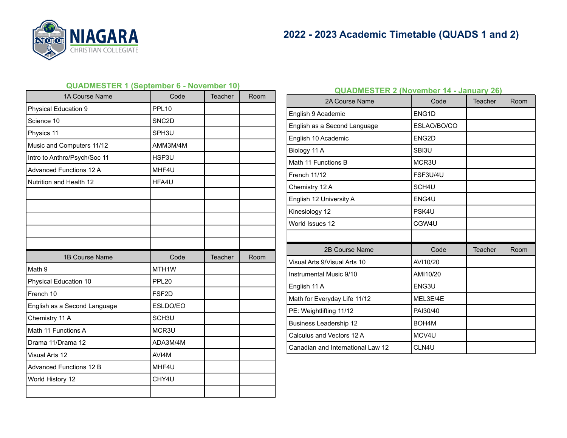

### **QUADMESTER 1 (September 6 - November 10)**

| 1A Course Name                 | Code               | Teacher | Room |
|--------------------------------|--------------------|---------|------|
| Physical Education 9           | <b>PPL10</b>       |         |      |
| Science 10                     | SNC <sub>2</sub> D |         |      |
| Physics 11                     | SPH <sub>3U</sub>  |         |      |
| Music and Computers 11/12      | AMM3M/4M           |         |      |
| Intro to Anthro/Psych/Soc 11   | HSP3U              |         |      |
| <b>Advanced Functions 12 A</b> | MHF4U              |         |      |
| Nutrition and Health 12        | HFA4U              |         |      |
|                                |                    |         |      |
|                                |                    |         |      |
|                                |                    |         |      |
|                                |                    |         |      |
|                                |                    |         |      |
|                                |                    |         |      |
| 1B Course Name                 | Code               | Teacher | Room |
| Math 9                         | MTH1W              |         |      |
| Physical Education 10          | PPL <sub>20</sub>  |         |      |
| French 10                      | FSF <sub>2D</sub>  |         |      |
| English as a Second Language   | ESLDO/EO           |         |      |
| Chemistry 11 A                 | SCH <sub>3U</sub>  |         |      |
| Math 11 Functions A            | MCR3U              |         |      |
| Drama 11/Drama 12              | ADA3M/4M           |         |      |
| Visual Arts 12                 | AVI4M              |         |      |
| <b>Advanced Functions 12 B</b> | MHF4U              |         |      |
| World History 12               | CHY4U              |         |      |

## **QUADMESTER 2 (November 14 - January 26)**

| 2A Course Name                    | Code               | Teacher | Room |
|-----------------------------------|--------------------|---------|------|
| English 9 Academic                | ENG <sub>1</sub> D |         |      |
| English as a Second Language      | ESLAO/BO/CO        |         |      |
| English 10 Academic               | ENG2D              |         |      |
| Biology 11 A                      | SBI3U              |         |      |
| Math 11 Functions B               | MCR3U              |         |      |
| French 11/12                      | FSF3U/4U           |         |      |
| Chemistry 12 A                    | SCH <sub>4U</sub>  |         |      |
| English 12 University A           | ENG4U              |         |      |
| Kinesiology 12                    | PSK4U              |         |      |
| World Issues 12                   | CGW4U              |         |      |
|                                   |                    |         |      |
| 2B Course Name                    | Code               | Teacher | Room |
| Visual Arts 9/Visual Arts 10      | AVI10/20           |         |      |
| Instrumental Music 9/10           | AMI10/20           |         |      |
| English 11 A                      | ENG3U              |         |      |
| Math for Everyday Life 11/12      | MEL3E/4E           |         |      |
| PE: Weightlifting 11/12           | PAI30/40           |         |      |
| <b>Business Leadership 12</b>     | BOH <sub>4</sub> M |         |      |
| Calculus and Vectors 12 A         | MCV4U              |         |      |
| Canadian and International Law 12 | CLN4U              |         |      |